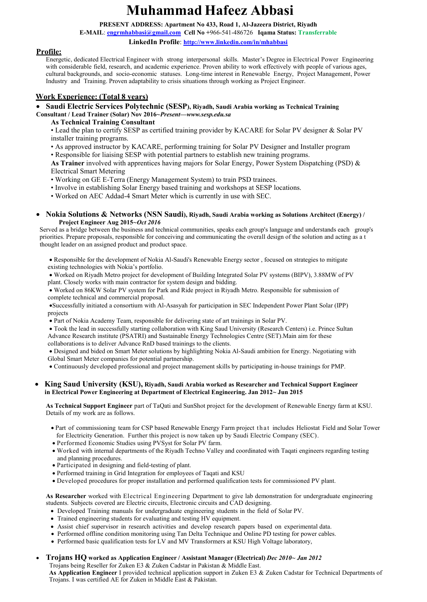# **Muhammad Hafeez Abbasi**

**PRESENT ADDRESS: Apartment No 433, Road 1, Al-Jazeera District, Riyadh**

**E-MAIL**: **[engrmhabbasi@gmail.com](mailto:engrmhabbasi@gmail.com) Cell No +**966-541-486726 **Iqama [Status: Transferrable](mailto:engrmhabbasi@gmail.com)**

**LinkedIn Profile**: **<http://www.linkedin.com/in/mhabbasi>**

# **Profile:**

Energetic, dedicated Electrical Engineer with strong interpersonal skills. Master's Degree in Electrical Power Engineering with considerable field, research, and academic experience. Proven ability to work effectively with people of various ages, cultural backgrounds, and socio-economic statuses. Long-time interest in Renewable Energy, Project Management, Power Industry and Training. Proven adaptability to crisis situations through working as Project Engineer.

# **Work Experience: (Total 8 years)**

 **Saudi Electric Services Polytechnic (SESP), Riyadh, Saudi Arabia working as Technical Training Consultant / Lead Trainer (Solar) Nov 2016***~Present—www.sesp.edu.sa*

**As Technical Training Consultant**

• Lead the plan to certify SESP as certified training provider by KACARE for Solar PV designer & Solar PV installer training programs.

- As approved instructor by KACARE, performing training for Solar PV Designer and Installer program
- Responsible for liaising SESP with potential partners to establish new training programs.

**As Trainer** involved with apprentices having majors for Solar Energy, Power System Dispatching (PSD) & Electrical Smart Metering

- Working on GE E-Terra (Energy Management System) to train PSD trainees.
- Involve in establishing Solar Energy based training and workshops at SESP locations.
- Worked on AEC Addad-4 Smart Meter which is currently in use with SEC.
- **Nokia Solutions & Networks (NSN Saudi), Riyadh, Saudi Arabia working as Solutions Architect (Energy) / Project Engineer Aug 2015***~Oct 2016*

 Served as a bridge between the business and technical communities, speaks each group's language and understands each group's priorities. Prepare proposals, responsible for conceiving and communicating the overall design of the solution and acting as a t thought leader on an assigned product and product space.

 Responsible for the development of Nokia Al-Saudi's Renewable Energy sector , focused on strategies to mitigate existing technologies with Nokia's portfolio.

 Worked on Riyadh Metro project for development of Building Integrated Solar PV systems (BIPV), 3.88MW of PV plant. Closely works with main contractor for system design and bidding.

 Worked on 86KW Solar PV system for Park and Ride project in Riyadh Metro. Responsible for submission of complete technical and commercial proposal.

Successfully initiated a consortium with Al-Asasyah for participation in SEC Independent Power Plant Solar (IPP) projects

Part of Nokia Academy Team, responsible for delivering state of art trainings in Solar PV.

 Took the lead in successfully starting collaboration with King Saud University (Research Centers) i.e. Prince Sultan Advance Research institute (PSATRI) and Sustainable Energy Technologies Centre (SET).Main aim for these collaborations is to deliver Advance RnD based trainings to the clients.

 Designed and bided on Smart Meter solutions by highlighting Nokia Al-Saudi ambition for Energy. Negotiating with Global Smart Meter companies for potential partnership.

Continuously developed professional and project management skills by participating in-house trainings for PMP.

#### **King Saud University (KSU), Riyadh, Saudi Arabia worked as Researcher and Technical Support Engineer in Electrical Power Engineering at Department of Electrical Engineering. Jan 2012~ Jun 2015**

**As Technical Support Engineer** part of TaQati and SunShot project for the development of Renewable Energy farm at KSU. Details of my work are as follows.

- Part of commissioning team for CSP based Renewable Energy Farm project that includes Heliostat Field and Solar Tower for Electricity Generation. Further this project is now taken up by Saudi Electric Company (SEC).
- Performed Economic Studies using PVSyst for Solar PV farm.
- Worked with internal departments of the Riyadh Techno Valley and coordinated with Taqati engineers regarding testing and planning procedures.
- Participated in designing and field-testing of plant.
- Performed training in Grid Integration for employees of Taqati and KSU
- Developed procedures for proper installation and performed qualification tests for commissioned PV plant.

**As Researcher** worked with Electrical Engineering Department to give lab demonstration for undergraduate engineering students. Subjects covered are Electric circuits, Electronic circuits and CAD designing.

- Developed Training manuals for undergraduate engineering students in the field of Solar PV.
- Trained engineering students for evaluating and testing HV equipment.
- Assist chief supervisor in research activities and develop research papers based on experimental data.
- Performed offline condition monitoring using Tan Delta Technique and Online PD testing for power cables.
- Performed basic qualification tests for LV and MV Transformers at KSU High Voltage laboratory,

# **Trojans HQ worked as Application Engineer / Assistant Manager (Electrical)** *Dec 2010~ Jan 2012*

Trojans being Reseller for Zuken E3 & Zuken Cadstar in Pakistan & Middle East.

**As Application Engineer** I provided technical application support in Zuken E3 & Zuken Cadstar for Technical Departments of Trojans. I was certified AE for Zuken in Middle East & Pakistan.